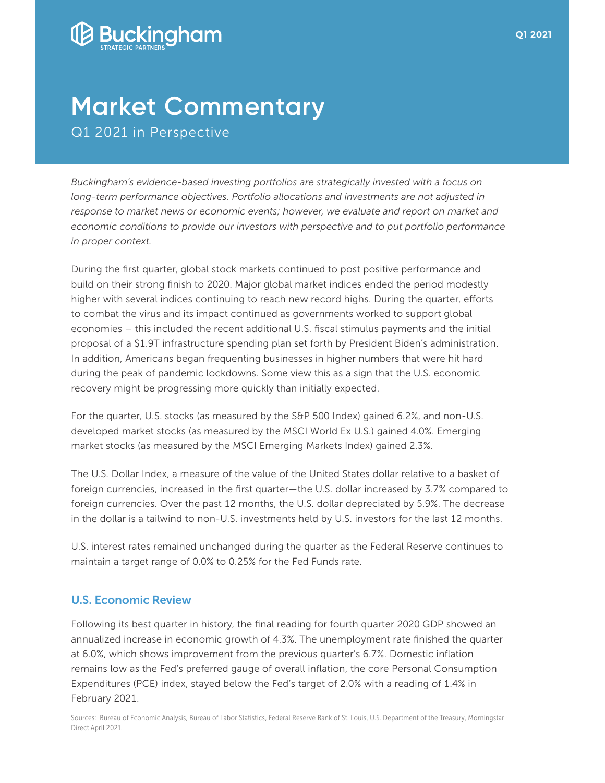

*in proper context.*

## **Market Commentary** Q1 2021 in Perspective

*Buckingham's evidence-based investing portfolios are strategically invested with a focus on long-term performance objectives. Portfolio allocations and investments are not adjusted in*  response to market news or economic events; however, we evaluate and report on market and *economic conditions to provide our investors with perspective and to put portfolio performance* 

During the first quarter, global stock markets continued to post positive performance and build on their strong finish to 2020. Major global market indices ended the period modestly higher with several indices continuing to reach new record highs. During the quarter, efforts to combat the virus and its impact continued as governments worked to support global economies – this included the recent additional U.S. fiscal stimulus payments and the initial proposal of a \$1.9T infrastructure spending plan set forth by President Biden's administration. In addition, Americans began frequenting businesses in higher numbers that were hit hard during the peak of pandemic lockdowns. Some view this as a sign that the U.S. economic recovery might be progressing more quickly than initially expected.

For the quarter, U.S. stocks (as measured by the S&P 500 Index) gained 6.2%, and non-U.S. developed market stocks (as measured by the MSCI World Ex U.S.) gained 4.0%. Emerging market stocks (as measured by the MSCI Emerging Markets Index) gained 2.3%.

The U.S. Dollar Index, a measure of the value of the United States dollar relative to a basket of foreign currencies, increased in the first quarter—the U.S. dollar increased by 3.7% compared to foreign currencies. Over the past 12 months, the U.S. dollar depreciated by 5.9%. The decrease in the dollar is a tailwind to non-U.S. investments held by U.S. investors for the last 12 months.

U.S. interest rates remained unchanged during the quarter as the Federal Reserve continues to maintain a target range of 0.0% to 0.25% for the Fed Funds rate.

## U.S. Economic Review

Following its best quarter in history, the final reading for fourth quarter 2020 GDP showed an annualized increase in economic growth of 4.3%. The unemployment rate finished the quarter at 6.0%, which shows improvement from the previous quarter's 6.7%. Domestic inflation remains low as the Fed's preferred gauge of overall inflation, the core Personal Consumption Expenditures (PCE) index, stayed below the Fed's target of 2.0% with a reading of 1.4% in February 2021.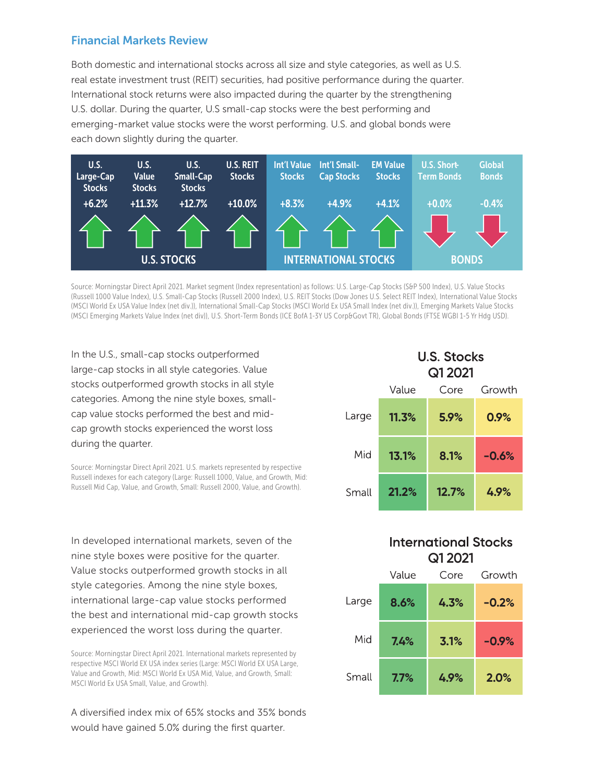## Financial Markets Review

Both domestic and international stocks across all size and style categories, as well as U.S. real estate investment trust (REIT) securities, had positive performance during the quarter. International stock returns were also impacted during the quarter by the strengthening U.S. dollar. During the quarter, U.S small-cap stocks were the best performing and emerging-market value stocks were the worst performing. U.S. and global bonds were each down slightly during the quarter.



Source: Morningstar Direct April 2021. Market segment (Index representation) as follows: U.S. Large-Cap Stocks (S&P 500 Index), U.S. Value Stocks (Russell 1000 Value Index), U.S. Small-Cap Stocks (Russell 2000 Index), U.S. REIT Stocks (Dow Jones U.S. Select REIT Index), International Value Stocks (MSCI World Ex USA Value Index (net div.)), International Small-Cap Stocks (MSCI World Ex USA Small Index (net div.)), Emerging Markets Value Stocks (MSCI Emerging Markets Value Index (net div)), U.S. Short-Term Bonds (ICE BofA 1-3Y US Corp&Govt TR), Global Bonds (FTSE WGBI 1-5 Yr Hdg USD).

In the U.S., small-cap stocks outperformed large-cap stocks in all style categories. Value stocks outperformed growth stocks in all style categories. Among the nine style boxes, smallcap value stocks performed the best and midcap growth stocks experienced the worst loss during the quarter.

Source: Morningstar Direct April 2021. U.S. markets represented by respective Russell indexes for each category (Large: Russell 1000, Value, and Growth, Mid: Russell Mid Cap, Value, and Growth, Small: Russell 2000, Value, and Growth).

In developed international markets, seven of the nine style boxes were positive for the quarter. Value stocks outperformed growth stocks in all style categories. Among the nine style boxes, international large-cap value stocks performed the best and international mid-cap growth stocks experienced the worst loss during the quarter.

Source: Morningstar Direct April 2021. International markets represented by respective MSCI World EX USA index series (Large: MSCI World EX USA Large, Value and Growth, Mid: MSCI World Ex USA Mid, Value, and Growth, Small: MSCI World Ex USA Small, Value, and Growth).

A diversified index mix of 65% stocks and 35% bonds would have gained 5.0% during the first quarter.

|       | <b>U.S. Stocks</b><br>Q1 2021 |       |         |  |
|-------|-------------------------------|-------|---------|--|
|       | Value                         | Core  | Growth  |  |
| Large | 11.3%                         | 5.9%  | 0.9%    |  |
| Mid   | 13.1%                         | 8.1%  | $-0.6%$ |  |
| Small | 21.2%                         | 12.7% | 4.9%    |  |

## **International Stocks Q1 2021**

|       | Value | Core | Growth  |
|-------|-------|------|---------|
| _arge | 8.6%  | 4.3% | $-0.2%$ |
| Mid   | 7.4%  | 3.1% | $-0.9%$ |
| Small | 7.7%  | 4.9% | 2.0%    |